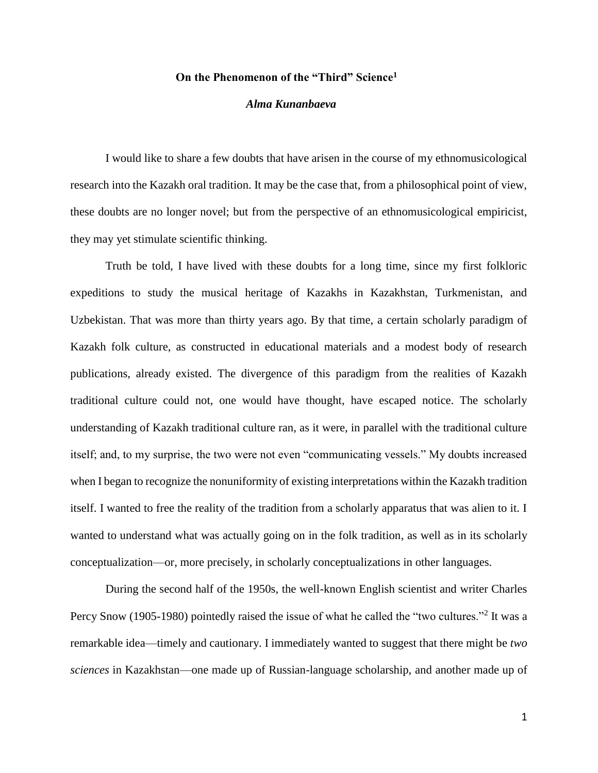## **On the Phenomenon of the "Third" Science<sup>1</sup>**

## *Alma Kunanbaeva*

I would like to share a few doubts that have arisen in the course of my ethnomusicological research into the Kazakh oral tradition. It may be the case that, from a philosophical point of view, these doubts are no longer novel; but from the perspective of an ethnomusicological empiricist, they may yet stimulate scientific thinking.

Truth be told, I have lived with these doubts for a long time, since my first folkloric expeditions to study the musical heritage of Kazakhs in Kazakhstan, Turkmenistan, and Uzbekistan. That was more than thirty years ago. By that time, a certain scholarly paradigm of Kazakh folk culture, as constructed in educational materials and a modest body of research publications, already existed. The divergence of this paradigm from the realities of Kazakh traditional culture could not, one would have thought, have escaped notice. The scholarly understanding of Kazakh traditional culture ran, as it were, in parallel with the traditional culture itself; and, to my surprise, the two were not even "communicating vessels." My doubts increased when I began to recognize the nonuniformity of existing interpretations within the Kazakh tradition itself. I wanted to free the reality of the tradition from a scholarly apparatus that was alien to it. I wanted to understand what was actually going on in the folk tradition, as well as in its scholarly conceptualization—or, more precisely, in scholarly conceptualizations in other languages.

During the second half of the 1950s, the well-known English scientist and writer Charles Percy Snow (1905-1980) pointedly raised the issue of what he called the "two cultures."<sup>2</sup> It was a remarkable idea—timely and cautionary. I immediately wanted to suggest that there might be *two sciences* in Kazakhstan—one made up of Russian-language scholarship, and another made up of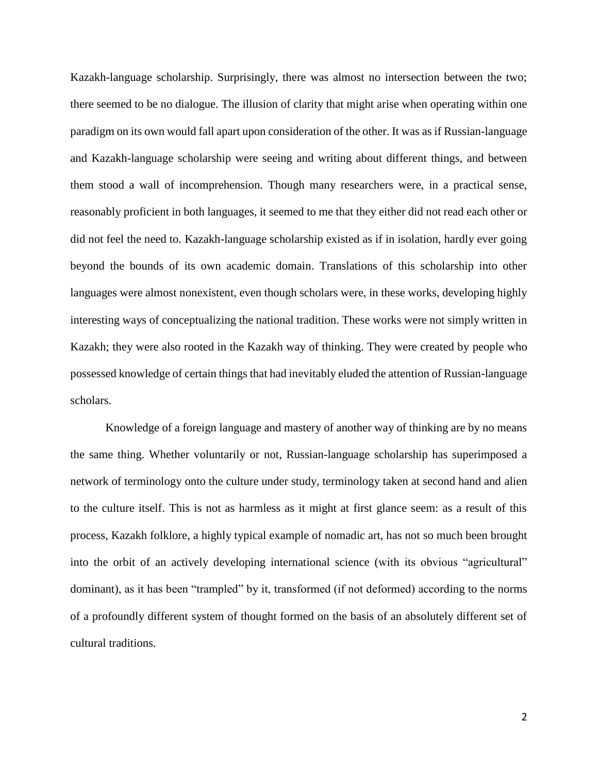Kazakh-language scholarship. Surprisingly, there was almost no intersection between the two; there seemed to be no dialogue. The illusion of clarity that might arise when operating within one paradigm on its own would fall apart upon consideration of the other. It was as if Russian-language and Kazakh-language scholarship were seeing and writing about different things, and between them stood a wall of incomprehension. Though many researchers were, in a practical sense, reasonably proficient in both languages, it seemed to me that they either did not read each other or did not feel the need to. Kazakh-language scholarship existed as if in isolation, hardly ever going beyond the bounds of its own academic domain. Translations of this scholarship into other languages were almost nonexistent, even though scholars were, in these works, developing highly interesting ways of conceptualizing the national tradition. These works were not simply written in Kazakh; they were also rooted in the Kazakh way of thinking. They were created by people who possessed knowledge of certain things that had inevitably eluded the attention of Russian-language scholars.

Knowledge of a foreign language and mastery of another way of thinking are by no means the same thing. Whether voluntarily or not, Russian-language scholarship has superimposed a network of terminology onto the culture under study, terminology taken at second hand and alien to the culture itself. This is not as harmless as it might at first glance seem: as a result of this process, Kazakh folklore, a highly typical example of nomadic art, has not so much been brought into the orbit of an actively developing international science (with its obvious "agricultural" dominant), as it has been "trampled" by it, transformed (if not deformed) according to the norms of a profoundly different system of thought formed on the basis of an absolutely different set of cultural traditions.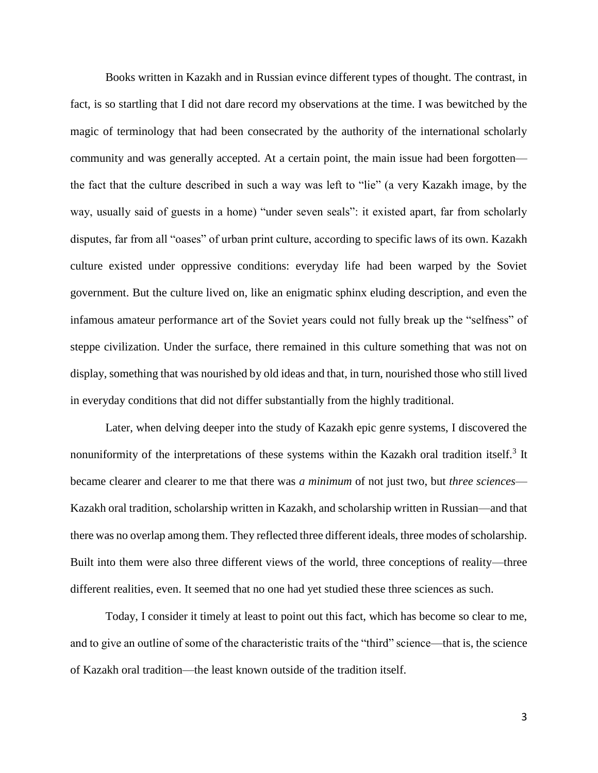Books written in Kazakh and in Russian evince different types of thought. The contrast, in fact, is so startling that I did not dare record my observations at the time. I was bewitched by the magic of terminology that had been consecrated by the authority of the international scholarly community and was generally accepted. At a certain point, the main issue had been forgotten the fact that the culture described in such a way was left to "lie" (a very Kazakh image, by the way, usually said of guests in a home) "under seven seals": it existed apart, far from scholarly disputes, far from all "oases" of urban print culture, according to specific laws of its own. Kazakh culture existed under oppressive conditions: everyday life had been warped by the Soviet government. But the culture lived on, like an enigmatic sphinx eluding description, and even the infamous amateur performance art of the Soviet years could not fully break up the "selfness" of steppe civilization. Under the surface, there remained in this culture something that was not on display, something that was nourished by old ideas and that, in turn, nourished those who still lived in everyday conditions that did not differ substantially from the highly traditional.

Later, when delving deeper into the study of Kazakh epic genre systems, I discovered the nonuniformity of the interpretations of these systems within the Kazakh oral tradition itself.<sup>3</sup> It became clearer and clearer to me that there was *a minimum* of not just two, but *three sciences*— Kazakh oral tradition, scholarship written in Kazakh, and scholarship written in Russian—and that there was no overlap among them. They reflected three different ideals, three modes of scholarship. Built into them were also three different views of the world, three conceptions of reality—three different realities, even. It seemed that no one had yet studied these three sciences as such.

Today, I consider it timely at least to point out this fact, which has become so clear to me, and to give an outline of some of the characteristic traits of the "third" science—that is, the science of Kazakh oral tradition—the least known outside of the tradition itself.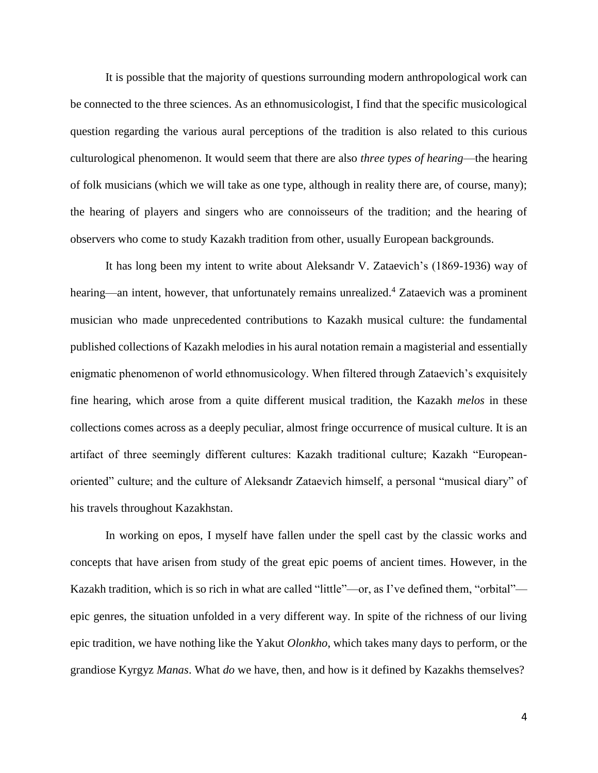It is possible that the majority of questions surrounding modern anthropological work can be connected to the three sciences. As an ethnomusicologist, I find that the specific musicological question regarding the various aural perceptions of the tradition is also related to this curious culturological phenomenon. It would seem that there are also *three types of hearing*—the hearing of folk musicians (which we will take as one type, although in reality there are, of course, many); the hearing of players and singers who are connoisseurs of the tradition; and the hearing of observers who come to study Kazakh tradition from other, usually European backgrounds.

It has long been my intent to write about Aleksandr V. Zataevich's (1869-1936) way of hearing—an intent, however, that unfortunately remains unrealized.<sup>4</sup> Zataevich was a prominent musician who made unprecedented contributions to Kazakh musical culture: the fundamental published collections of Kazakh melodies in his aural notation remain a magisterial and essentially enigmatic phenomenon of world ethnomusicology. When filtered through Zataevich's exquisitely fine hearing, which arose from a quite different musical tradition, the Kazakh *melos* in these collections comes across as a deeply peculiar, almost fringe occurrence of musical culture. It is an artifact of three seemingly different cultures: Kazakh traditional culture; Kazakh "Europeanoriented" culture; and the culture of Aleksandr Zataevich himself, a personal "musical diary" of his travels throughout Kazakhstan.

In working on epos, I myself have fallen under the spell cast by the classic works and concepts that have arisen from study of the great epic poems of ancient times. However, in the Kazakh tradition, which is so rich in what are called "little"—or, as I've defined them, "orbital" epic genres, the situation unfolded in a very different way. In spite of the richness of our living epic tradition, we have nothing like the Yakut *Olonkho*, which takes many days to perform, or the grandiose Kyrgyz *Manas*. What *do* we have, then, and how is it defined by Kazakhs themselves?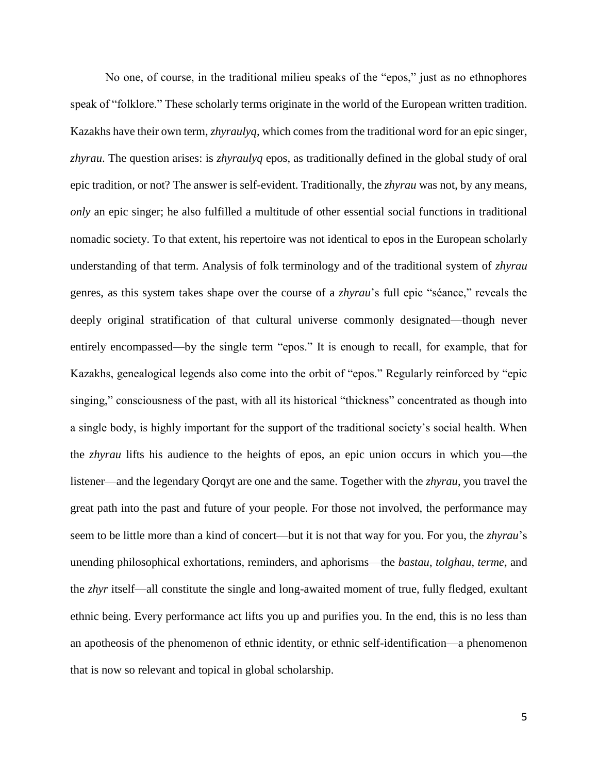No one, of course, in the traditional milieu speaks of the "epos," just as no ethnophores speak of "folklore." These scholarly terms originate in the world of the European written tradition. Kazakhs have their own term, *zhyraulyq*, which comes from the traditional word for an epic singer, *zhyrau*. The question arises: is *zhyraulyq* epos, as traditionally defined in the global study of oral epic tradition, or not? The answer is self-evident. Traditionally, the *zhyrau* was not, by any means, *only* an epic singer; he also fulfilled a multitude of other essential social functions in traditional nomadic society. To that extent, his repertoire was not identical to epos in the European scholarly understanding of that term. Analysis of folk terminology and of the traditional system of *zhyrau* genres, as this system takes shape over the course of a *zhyrau*'s full epic "séance," reveals the deeply original stratification of that cultural universe commonly designated—though never entirely encompassed—by the single term "epos." It is enough to recall, for example, that for Kazakhs, genealogical legends also come into the orbit of "epos." Regularly reinforced by "epic singing," consciousness of the past, with all its historical "thickness" concentrated as though into a single body, is highly important for the support of the traditional society's social health. When the *zhyrau* lifts his audience to the heights of epos, an epic union occurs in which you—the listener—and the legendary Qorqyt are one and the same. Together with the *zhyrau*, you travel the great path into the past and future of your people. For those not involved, the performance may seem to be little more than a kind of concert—but it is not that way for you. For you, the *zhyrau*'s unending philosophical exhortations, reminders, and aphorisms—the *bastau*, *tolghau*, *terme*, and the *zhyr* itself—all constitute the single and long-awaited moment of true, fully fledged, exultant ethnic being. Every performance act lifts you up and purifies you. In the end, this is no less than an apotheosis of the phenomenon of ethnic identity, or ethnic self-identification—a phenomenon that is now so relevant and topical in global scholarship.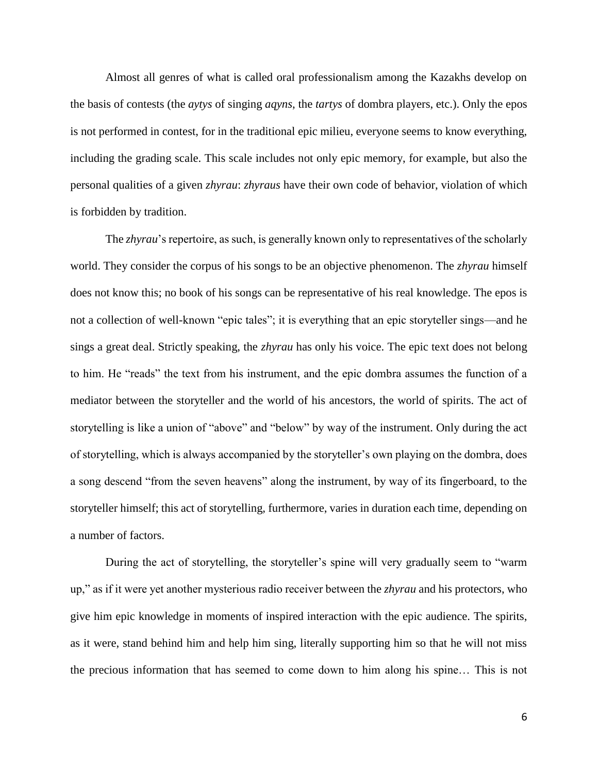Almost all genres of what is called oral professionalism among the Kazakhs develop on the basis of contests (the *aytys* of singing *aqyns*, the *tartys* of dombra players, etc.). Only the epos is not performed in contest, for in the traditional epic milieu, everyone seems to know everything, including the grading scale. This scale includes not only epic memory, for example, but also the personal qualities of a given *zhyrau*: *zhyraus* have their own code of behavior, violation of which is forbidden by tradition.

The *zhyrau*'s repertoire, as such, is generally known only to representatives of the scholarly world. They consider the corpus of his songs to be an objective phenomenon. The *zhyrau* himself does not know this; no book of his songs can be representative of his real knowledge. The epos is not a collection of well-known "epic tales"; it is everything that an epic storyteller sings—and he sings a great deal. Strictly speaking, the *zhyrau* has only his voice. The epic text does not belong to him. He "reads" the text from his instrument, and the epic dombra assumes the function of a mediator between the storyteller and the world of his ancestors, the world of spirits. The act of storytelling is like a union of "above" and "below" by way of the instrument. Only during the act of storytelling, which is always accompanied by the storyteller's own playing on the dombra, does a song descend "from the seven heavens" along the instrument, by way of its fingerboard, to the storyteller himself; this act of storytelling, furthermore, varies in duration each time, depending on a number of factors.

During the act of storytelling, the storyteller's spine will very gradually seem to "warm up," as if it were yet another mysterious radio receiver between the *zhyrau* and his protectors, who give him epic knowledge in moments of inspired interaction with the epic audience. The spirits, as it were, stand behind him and help him sing, literally supporting him so that he will not miss the precious information that has seemed to come down to him along his spine… This is not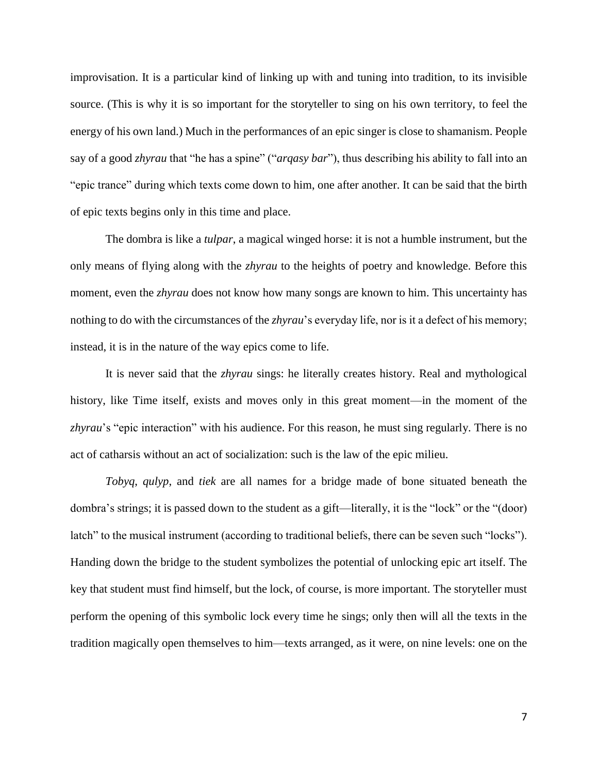improvisation. It is a particular kind of linking up with and tuning into tradition, to its invisible source. (This is why it is so important for the storyteller to sing on his own territory, to feel the energy of his own land.) Much in the performances of an epic singer is close to shamanism. People say of a good *zhyrau* that "he has a spine" ("*arqasy bar*"), thus describing his ability to fall into an "epic trance" during which texts come down to him, one after another. It can be said that the birth of epic texts begins only in this time and place.

The dombra is like a *tulpar*, a magical winged horse: it is not a humble instrument, but the only means of flying along with the *zhyrau* to the heights of poetry and knowledge. Before this moment, even the *zhyrau* does not know how many songs are known to him. This uncertainty has nothing to do with the circumstances of the *zhyrau*'s everyday life, nor is it a defect of his memory; instead, it is in the nature of the way epics come to life.

It is never said that the *zhyrau* sings: he literally creates history. Real and mythological history, like Time itself, exists and moves only in this great moment—in the moment of the *zhyrau*'s "epic interaction" with his audience. For this reason, he must sing regularly. There is no act of catharsis without an act of socialization: such is the law of the epic milieu.

*Tobyq*, *qulyp*, and *tiek* are all names for a bridge made of bone situated beneath the dombra's strings; it is passed down to the student as a gift—literally, it is the "lock" or the "(door) latch" to the musical instrument (according to traditional beliefs, there can be seven such "locks"). Handing down the bridge to the student symbolizes the potential of unlocking epic art itself. The key that student must find himself, but the lock, of course, is more important. The storyteller must perform the opening of this symbolic lock every time he sings; only then will all the texts in the tradition magically open themselves to him—texts arranged, as it were, on nine levels: one on the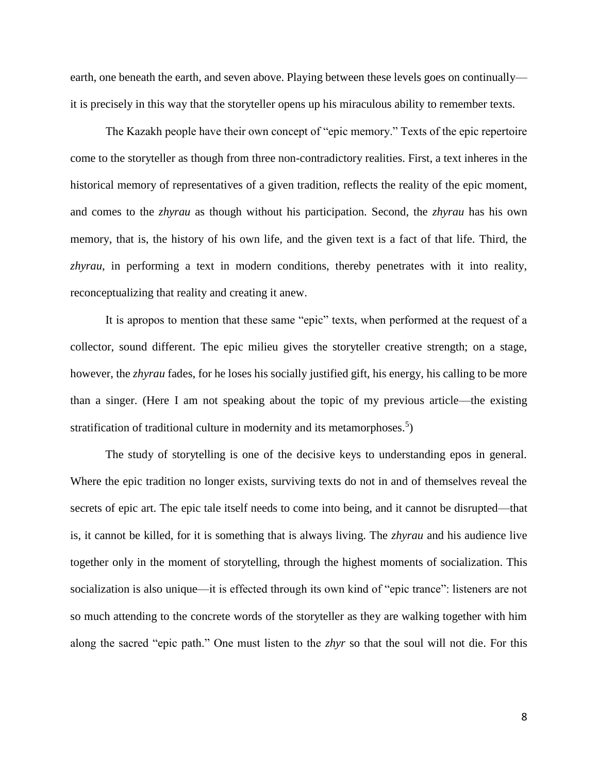earth, one beneath the earth, and seven above. Playing between these levels goes on continually it is precisely in this way that the storyteller opens up his miraculous ability to remember texts.

The Kazakh people have their own concept of "epic memory." Texts of the epic repertoire come to the storyteller as though from three non-contradictory realities. First, a text inheres in the historical memory of representatives of a given tradition, reflects the reality of the epic moment, and comes to the *zhyrau* as though without his participation. Second, the *zhyrau* has his own memory, that is, the history of his own life, and the given text is a fact of that life. Third, the *zhyrau*, in performing a text in modern conditions, thereby penetrates with it into reality, reconceptualizing that reality and creating it anew.

It is apropos to mention that these same "epic" texts, when performed at the request of a collector, sound different. The epic milieu gives the storyteller creative strength; on a stage, however, the *zhyrau* fades, for he loses his socially justified gift, his energy, his calling to be more than a singer. (Here I am not speaking about the topic of my previous article—the existing stratification of traditional culture in modernity and its metamorphoses.<sup>5</sup>)

The study of storytelling is one of the decisive keys to understanding epos in general. Where the epic tradition no longer exists, surviving texts do not in and of themselves reveal the secrets of epic art. The epic tale itself needs to come into being, and it cannot be disrupted—that is, it cannot be killed, for it is something that is always living. The *zhyrau* and his audience live together only in the moment of storytelling, through the highest moments of socialization. This socialization is also unique—it is effected through its own kind of "epic trance": listeners are not so much attending to the concrete words of the storyteller as they are walking together with him along the sacred "epic path." One must listen to the *zhyr* so that the soul will not die. For this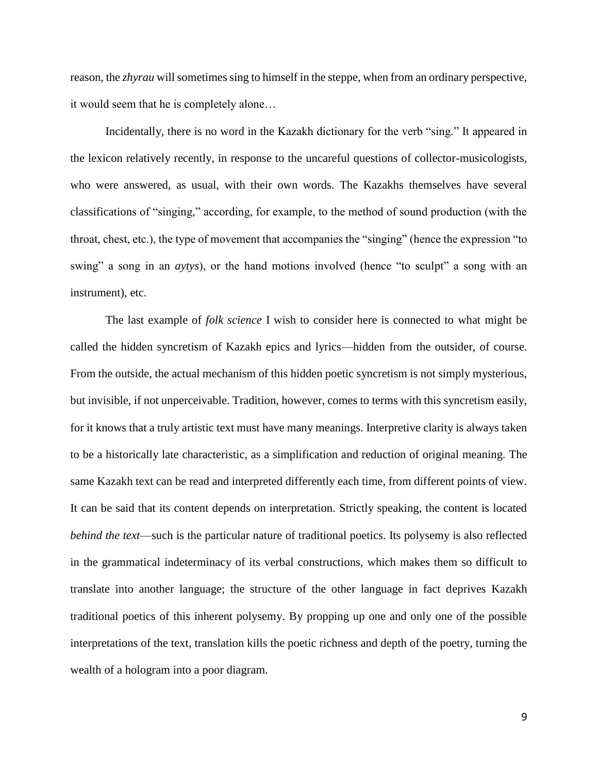reason, the *zhyrau* will sometimes sing to himself in the steppe, when from an ordinary perspective, it would seem that he is completely alone…

Incidentally, there is no word in the Kazakh dictionary for the verb "sing." It appeared in the lexicon relatively recently, in response to the uncareful questions of collector-musicologists, who were answered, as usual, with their own words. The Kazakhs themselves have several classifications of "singing," according, for example, to the method of sound production (with the throat, chest, etc.), the type of movement that accompanies the "singing" (hence the expression "to swing" a song in an *aytys*), or the hand motions involved (hence "to sculpt" a song with an instrument), etc.

The last example of *folk science* I wish to consider here is connected to what might be called the hidden syncretism of Kazakh epics and lyrics—hidden from the outsider, of course. From the outside, the actual mechanism of this hidden poetic syncretism is not simply mysterious, but invisible, if not unperceivable. Tradition, however, comes to terms with this syncretism easily, for it knows that a truly artistic text must have many meanings. Interpretive clarity is always taken to be a historically late characteristic, as a simplification and reduction of original meaning. The same Kazakh text can be read and interpreted differently each time, from different points of view. It can be said that its content depends on interpretation. Strictly speaking, the content is located *behind the text*—such is the particular nature of traditional poetics. Its polysemy is also reflected in the grammatical indeterminacy of its verbal constructions, which makes them so difficult to translate into another language; the structure of the other language in fact deprives Kazakh traditional poetics of this inherent polysemy. By propping up one and only one of the possible interpretations of the text, translation kills the poetic richness and depth of the poetry, turning the wealth of a hologram into a poor diagram.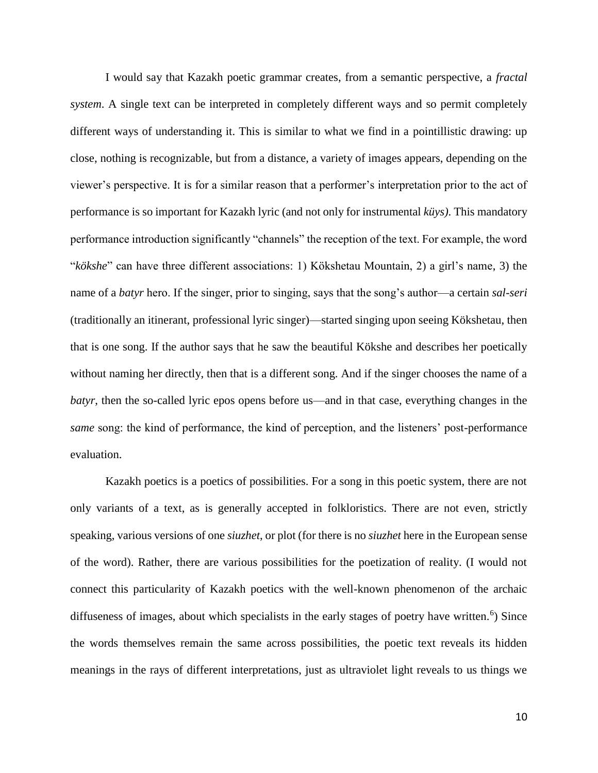I would say that Kazakh poetic grammar creates, from a semantic perspective, a *fractal system*. A single text can be interpreted in completely different ways and so permit completely different ways of understanding it. This is similar to what we find in a pointillistic drawing: up close, nothing is recognizable, but from a distance, a variety of images appears, depending on the viewer's perspective. It is for a similar reason that a performer's interpretation prior to the act of performance is so important for Kazakh lyric (and not only for instrumental *küys)*. This mandatory performance introduction significantly "channels" the reception of the text. For example, the word "*kökshe*" can have three different associations: 1) Kökshetau Mountain, 2) a girl's name, 3) the name of a *batyr* hero. If the singer, prior to singing, says that the song's author—a certain *sal-seri* (traditionally an itinerant, professional lyric singer)—started singing upon seeing Kökshetau, then that is one song. If the author says that he saw the beautiful Kökshe and describes her poetically without naming her directly, then that is a different song. And if the singer chooses the name of a *batyr*, then the so-called lyric epos opens before us—and in that case, everything changes in the *same* song: the kind of performance, the kind of perception, and the listeners' post-performance evaluation.

Kazakh poetics is a poetics of possibilities. For a song in this poetic system, there are not only variants of a text, as is generally accepted in folkloristics. There are not even, strictly speaking, various versions of one *siuzhet*, or plot (for there is no *siuzhet* here in the European sense of the word). Rather, there are various possibilities for the poetization of reality. (I would not connect this particularity of Kazakh poetics with the well-known phenomenon of the archaic diffuseness of images, about which specialists in the early stages of poetry have written.<sup>6</sup>) Since the words themselves remain the same across possibilities, the poetic text reveals its hidden meanings in the rays of different interpretations, just as ultraviolet light reveals to us things we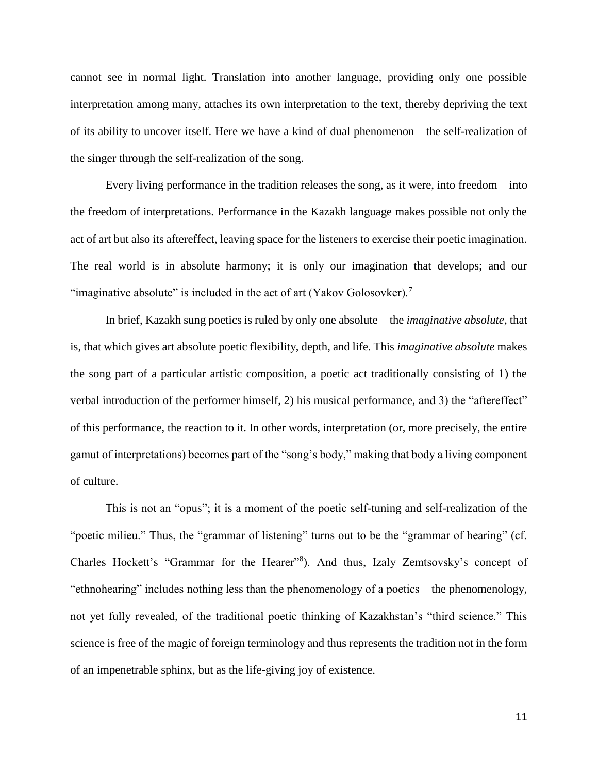cannot see in normal light. Translation into another language, providing only one possible interpretation among many, attaches its own interpretation to the text, thereby depriving the text of its ability to uncover itself. Here we have a kind of dual phenomenon—the self-realization of the singer through the self-realization of the song.

Every living performance in the tradition releases the song, as it were, into freedom—into the freedom of interpretations. Performance in the Kazakh language makes possible not only the act of art but also its aftereffect, leaving space for the listeners to exercise their poetic imagination. The real world is in absolute harmony; it is only our imagination that develops; and our "imaginative absolute" is included in the act of art (Yakov Golosovker).<sup>7</sup>

In brief, Kazakh sung poetics is ruled by only one absolute—the *imaginative absolute*, that is, that which gives art absolute poetic flexibility, depth, and life. This *imaginative absolute* makes the song part of a particular artistic composition, a poetic act traditionally consisting of 1) the verbal introduction of the performer himself, 2) his musical performance, and 3) the "aftereffect" of this performance, the reaction to it. In other words, interpretation (or, more precisely, the entire gamut of interpretations) becomes part of the "song's body," making that body a living component of culture.

This is not an "opus"; it is a moment of the poetic self-tuning and self-realization of the "poetic milieu." Thus, the "grammar of listening" turns out to be the "grammar of hearing" (cf. Charles Hockett's "Grammar for the Hearer"<sup>8</sup>). And thus, Izaly Zemtsovsky's concept of "ethnohearing" includes nothing less than the phenomenology of a poetics—the phenomenology, not yet fully revealed, of the traditional poetic thinking of Kazakhstan's "third science." This science is free of the magic of foreign terminology and thus represents the tradition not in the form of an impenetrable sphinx, but as the life-giving joy of existence.